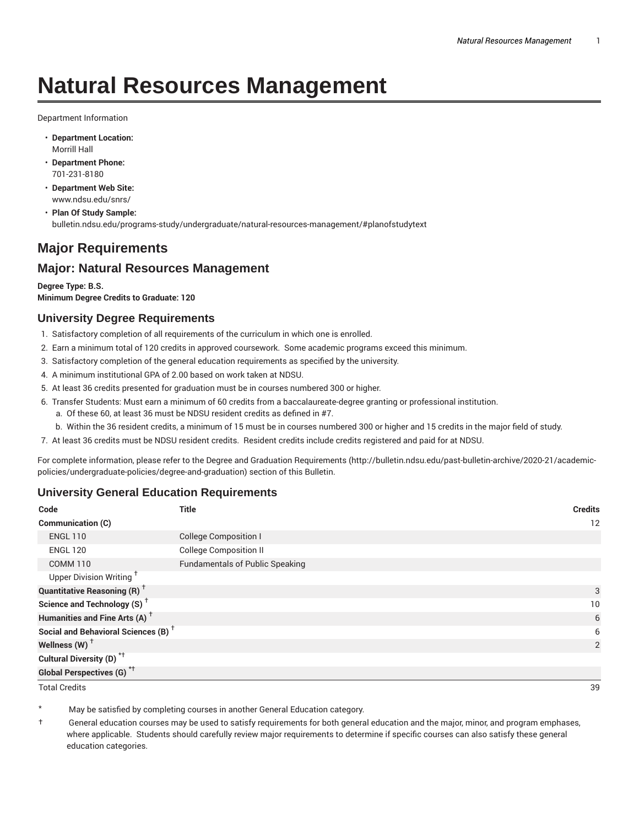# **Natural Resources Management**

Department Information

- **Department Location:** Morrill Hall
- **Department Phone:** 701-231-8180
- **Department Web Site:** www.ndsu.edu/snrs/
- **Plan Of Study Sample:** bulletin.ndsu.edu/programs-study/undergraduate/natural-resources-management/#planofstudytext

# **Major Requirements**

## **Major: Natural Resources Management**

**Degree Type: B.S. Minimum Degree Credits to Graduate: 120**

## **University Degree Requirements**

- 1. Satisfactory completion of all requirements of the curriculum in which one is enrolled.
- 2. Earn a minimum total of 120 credits in approved coursework. Some academic programs exceed this minimum.
- 3. Satisfactory completion of the general education requirements as specified by the university.
- 4. A minimum institutional GPA of 2.00 based on work taken at NDSU.
- 5. At least 36 credits presented for graduation must be in courses numbered 300 or higher.
- 6. Transfer Students: Must earn a minimum of 60 credits from a baccalaureate-degree granting or professional institution.
	- a. Of these 60, at least 36 must be NDSU resident credits as defined in #7.
	- b. Within the 36 resident credits, a minimum of 15 must be in courses numbered 300 or higher and 15 credits in the major field of study.
- 7. At least 36 credits must be NDSU resident credits. Resident credits include credits registered and paid for at NDSU.

For complete information, please refer to the Degree and Graduation Requirements (http://bulletin.ndsu.edu/past-bulletin-archive/2020-21/academicpolicies/undergraduate-policies/degree-and-graduation) section of this Bulletin.

## **University General Education Requirements**

| Code                                            | <b>Title</b>                           | <b>Credits</b> |
|-------------------------------------------------|----------------------------------------|----------------|
| Communication (C)                               |                                        | 12             |
| <b>ENGL 110</b>                                 | <b>College Composition I</b>           |                |
| <b>ENGL 120</b>                                 | <b>College Composition II</b>          |                |
| <b>COMM 110</b>                                 | <b>Fundamentals of Public Speaking</b> |                |
| Upper Division Writing <sup>+</sup>             |                                        |                |
| <b>Quantitative Reasoning (R)</b> <sup>†</sup>  |                                        | 3              |
| Science and Technology (S) <sup>+</sup>         |                                        | 10             |
| Humanities and Fine Arts (A) <sup>+</sup>       |                                        | 6              |
| Social and Behavioral Sciences (B) <sup>+</sup> |                                        | 6              |
| Wellness $(W)$ <sup>+</sup>                     |                                        | 2              |
| Cultural Diversity (D) <sup>*†</sup>            |                                        |                |
| Global Perspectives (G) <sup>*†</sup>           |                                        |                |

Total Credits 39

May be satisfied by completing courses in another General Education category.

† General education courses may be used to satisfy requirements for both general education and the major, minor, and program emphases, where applicable. Students should carefully review major requirements to determine if specific courses can also satisfy these general education categories.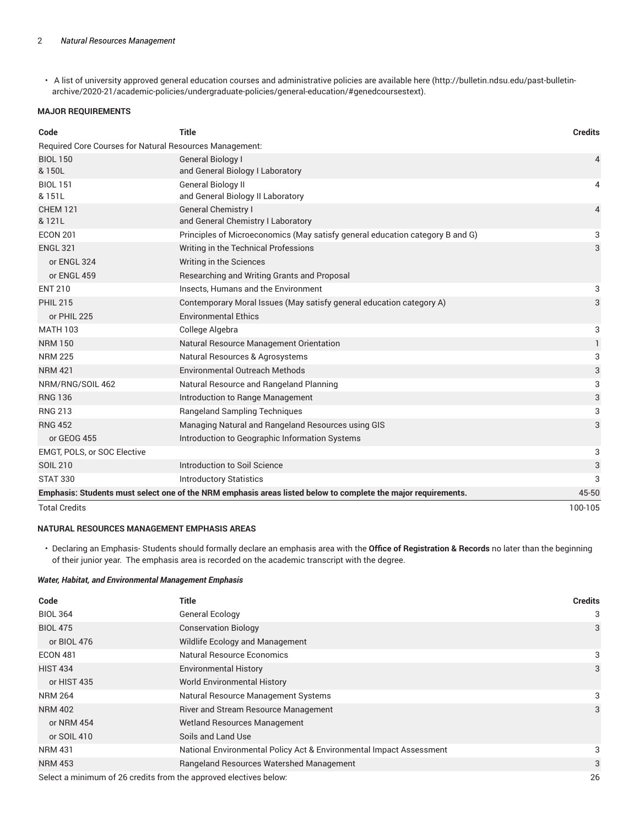• A list of university approved general education courses and administrative policies are available here (http://bulletin.ndsu.edu/past-bulletinarchive/2020-21/academic-policies/undergraduate-policies/general-education/#genedcoursestext).

#### **MAJOR REQUIREMENTS**

| Code                                                    | <b>Title</b>                                                                                                  | <b>Credits</b> |
|---------------------------------------------------------|---------------------------------------------------------------------------------------------------------------|----------------|
| Required Core Courses for Natural Resources Management: |                                                                                                               |                |
| <b>BIOL 150</b>                                         | <b>General Biology I</b>                                                                                      | $\overline{4}$ |
| & 150L                                                  | and General Biology I Laboratory                                                                              |                |
| <b>BIOL 151</b>                                         | <b>General Biology II</b>                                                                                     | 4              |
| & 151L                                                  | and General Biology II Laboratory                                                                             |                |
| <b>CHEM 121</b>                                         | <b>General Chemistry I</b>                                                                                    | $\overline{4}$ |
| & 121L                                                  | and General Chemistry I Laboratory                                                                            |                |
| <b>ECON 201</b>                                         | Principles of Microeconomics (May satisfy general education category B and G)                                 | 3              |
| <b>ENGL 321</b>                                         | Writing in the Technical Professions                                                                          | 3              |
| or ENGL 324                                             | Writing in the Sciences                                                                                       |                |
| or ENGL 459                                             | Researching and Writing Grants and Proposal                                                                   |                |
| <b>ENT 210</b>                                          | Insects, Humans and the Environment                                                                           | 3              |
| <b>PHIL 215</b>                                         | Contemporary Moral Issues (May satisfy general education category A)                                          | 3              |
| or PHIL 225                                             | <b>Environmental Ethics</b>                                                                                   |                |
| <b>MATH 103</b>                                         | College Algebra                                                                                               | 3              |
| <b>NRM 150</b>                                          | Natural Resource Management Orientation                                                                       | $\mathbf{1}$   |
| <b>NRM 225</b>                                          | Natural Resources & Agrosystems                                                                               | 3              |
| <b>NRM 421</b>                                          | Environmental Outreach Methods                                                                                | 3              |
| NRM/RNG/SOIL 462                                        | Natural Resource and Rangeland Planning                                                                       | 3              |
| <b>RNG 136</b>                                          | Introduction to Range Management                                                                              | 3              |
| <b>RNG 213</b>                                          | <b>Rangeland Sampling Techniques</b>                                                                          | 3              |
| <b>RNG 452</b>                                          | Managing Natural and Rangeland Resources using GIS                                                            | 3              |
| or GEOG 455                                             | Introduction to Geographic Information Systems                                                                |                |
| EMGT, POLS, or SOC Elective                             |                                                                                                               | 3              |
| <b>SOIL 210</b>                                         | Introduction to Soil Science                                                                                  | 3              |
| <b>STAT 330</b>                                         | <b>Introductory Statistics</b>                                                                                | 3              |
|                                                         | Emphasis: Students must select one of the NRM emphasis areas listed below to complete the major requirements. | 45-50          |
| <b>Total Credits</b>                                    |                                                                                                               | 100-105        |

#### **NATURAL RESOURCES MANAGEMENT EMPHASIS AREAS**

• Declaring an Emphasis- Students should formally declare an emphasis area with the **Office of Registration & Records** no later than the beginning of their junior year. The emphasis area is recorded on the academic transcript with the degree.

#### *Water, Habitat, and Environmental Management Emphasis*

| Code            | Title                                                               | <b>Credits</b> |
|-----------------|---------------------------------------------------------------------|----------------|
| <b>BIOL 364</b> | General Ecology                                                     | 3              |
| <b>BIOL 475</b> | <b>Conservation Biology</b>                                         | 3              |
| or BIOL 476     | Wildlife Ecology and Management                                     |                |
| <b>ECON 481</b> | <b>Natural Resource Economics</b>                                   | 3              |
| <b>HIST 434</b> | <b>Environmental History</b>                                        | 3              |
| or HIST 435     | <b>World Environmental History</b>                                  |                |
| <b>NRM 264</b>  | Natural Resource Management Systems                                 | 3              |
| <b>NRM 402</b>  | River and Stream Resource Management                                | 3              |
| or NRM 454      | <b>Wetland Resources Management</b>                                 |                |
| or SOIL 410     | Soils and Land Use                                                  |                |
| <b>NRM 431</b>  | National Environmental Policy Act & Environmental Impact Assessment | 3              |
| <b>NRM 453</b>  | Rangeland Resources Watershed Management                            | 3              |
|                 | Select a minimum of 26 credits from the approved electives below.   | 26             |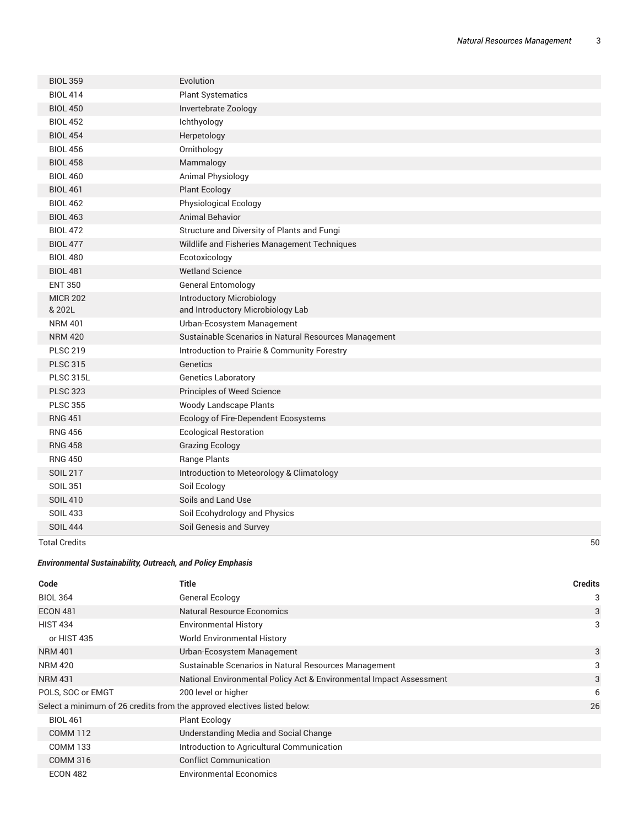| <b>BIOL 359</b>  | Evolution                                             |
|------------------|-------------------------------------------------------|
| <b>BIOL 414</b>  | <b>Plant Systematics</b>                              |
| <b>BIOL 450</b>  | Invertebrate Zoology                                  |
| <b>BIOL 452</b>  | Ichthyology                                           |
| <b>BIOL 454</b>  | Herpetology                                           |
| <b>BIOL 456</b>  | Ornithology                                           |
| <b>BIOL 458</b>  | Mammalogy                                             |
| <b>BIOL 460</b>  | Animal Physiology                                     |
| <b>BIOL 461</b>  | <b>Plant Ecology</b>                                  |
| <b>BIOL 462</b>  | Physiological Ecology                                 |
| <b>BIOL 463</b>  | <b>Animal Behavior</b>                                |
| <b>BIOL 472</b>  | Structure and Diversity of Plants and Fungi           |
| <b>BIOL 477</b>  | Wildlife and Fisheries Management Techniques          |
| <b>BIOL 480</b>  | Ecotoxicology                                         |
| <b>BIOL 481</b>  | <b>Wetland Science</b>                                |
| <b>ENT 350</b>   | <b>General Entomology</b>                             |
| <b>MICR 202</b>  | <b>Introductory Microbiology</b>                      |
| & 202L           | and Introductory Microbiology Lab                     |
| <b>NRM 401</b>   | Urban-Ecosystem Management                            |
| <b>NRM 420</b>   | Sustainable Scenarios in Natural Resources Management |
| <b>PLSC 219</b>  | Introduction to Prairie & Community Forestry          |
| <b>PLSC 315</b>  | Genetics                                              |
| <b>PLSC 315L</b> | <b>Genetics Laboratory</b>                            |
| <b>PLSC 323</b>  | Principles of Weed Science                            |
| <b>PLSC 355</b>  | Woody Landscape Plants                                |
| <b>RNG 451</b>   | Ecology of Fire-Dependent Ecosystems                  |
| <b>RNG 456</b>   | <b>Ecological Restoration</b>                         |
| <b>RNG 458</b>   | <b>Grazing Ecology</b>                                |
| <b>RNG 450</b>   | Range Plants                                          |
| <b>SOIL 217</b>  | Introduction to Meteorology & Climatology             |
| <b>SOIL 351</b>  | Soil Ecology                                          |
| <b>SOIL 410</b>  | Soils and Land Use                                    |
| <b>SOIL 433</b>  | Soil Ecohydrology and Physics                         |
| <b>SOIL 444</b>  | Soil Genesis and Survey                               |

Total Credits 50

*Environmental Sustainability, Outreach, and Policy Emphasis*

| Code              | Title                                                                    | <b>Credits</b> |
|-------------------|--------------------------------------------------------------------------|----------------|
| <b>BIOL 364</b>   | <b>General Ecology</b>                                                   | 3              |
| <b>ECON 481</b>   | <b>Natural Resource Economics</b>                                        | 3              |
| <b>HIST 434</b>   | <b>Environmental History</b>                                             | 3              |
| or HIST 435       | <b>World Environmental History</b>                                       |                |
| <b>NRM 401</b>    | Urban-Ecosystem Management                                               | 3              |
| <b>NRM 420</b>    | Sustainable Scenarios in Natural Resources Management                    | 3              |
| <b>NRM 431</b>    | National Environmental Policy Act & Environmental Impact Assessment      | 3              |
| POLS, SOC or EMGT | 200 level or higher                                                      | 6              |
|                   | Select a minimum of 26 credits from the approved electives listed below: | 26             |
| <b>BIOL 461</b>   | <b>Plant Ecology</b>                                                     |                |
| <b>COMM 112</b>   | Understanding Media and Social Change                                    |                |
| <b>COMM 133</b>   | Introduction to Agricultural Communication                               |                |
| <b>COMM 316</b>   | <b>Conflict Communication</b>                                            |                |
| <b>ECON 482</b>   | <b>Environmental Economics</b>                                           |                |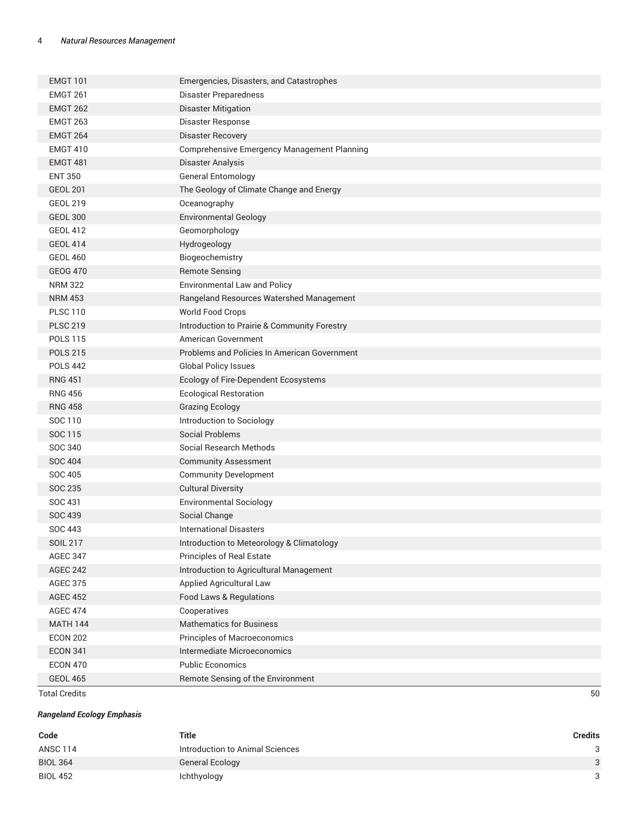| <b>EMGT 101</b> | Emergencies, Disasters, and Catastrophes           |
|-----------------|----------------------------------------------------|
| <b>EMGT 261</b> | Disaster Preparedness                              |
| <b>EMGT 262</b> | <b>Disaster Mitigation</b>                         |
| <b>EMGT 263</b> | Disaster Response                                  |
| <b>EMGT 264</b> | <b>Disaster Recovery</b>                           |
| <b>EMGT 410</b> | <b>Comprehensive Emergency Management Planning</b> |
| <b>EMGT 481</b> | Disaster Analysis                                  |
| <b>ENT 350</b>  | <b>General Entomology</b>                          |
| <b>GEOL 201</b> | The Geology of Climate Change and Energy           |
| <b>GEOL 219</b> | Oceanography                                       |
| <b>GEOL 300</b> | <b>Environmental Geology</b>                       |
| <b>GEOL 412</b> | Geomorphology                                      |
| <b>GEOL 414</b> | Hydrogeology                                       |
| <b>GEOL 460</b> | Biogeochemistry                                    |
| <b>GEOG 470</b> | <b>Remote Sensing</b>                              |
| <b>NRM 322</b>  | <b>Environmental Law and Policy</b>                |
| <b>NRM 453</b>  | Rangeland Resources Watershed Management           |
| <b>PLSC 110</b> | World Food Crops                                   |
| <b>PLSC 219</b> | Introduction to Prairie & Community Forestry       |
| <b>POLS 115</b> | <b>American Government</b>                         |
| <b>POLS 215</b> | Problems and Policies In American Government       |
| <b>POLS 442</b> | <b>Global Policy Issues</b>                        |
| <b>RNG 451</b>  | Ecology of Fire-Dependent Ecosystems               |
| <b>RNG 456</b>  | <b>Ecological Restoration</b>                      |
| <b>RNG 458</b>  | <b>Grazing Ecology</b>                             |
| SOC 110         | Introduction to Sociology                          |
| SOC 115         | <b>Social Problems</b>                             |
| SOC 340         | Social Research Methods                            |
| <b>SOC 404</b>  | <b>Community Assessment</b>                        |
| SOC 405         | <b>Community Development</b>                       |
| SOC 235         | <b>Cultural Diversity</b>                          |
| SOC 431         | <b>Environmental Sociology</b>                     |
| <b>SOC 439</b>  | Social Change                                      |
| <b>SOC 443</b>  | <b>International Disasters</b>                     |
| <b>SOIL 217</b> | Introduction to Meteorology & Climatology          |
| <b>AGEC 347</b> | Principles of Real Estate                          |
| <b>AGEC 242</b> | Introduction to Agricultural Management            |
| <b>AGEC 375</b> | Applied Agricultural Law                           |
| <b>AGEC 452</b> | Food Laws & Regulations                            |
| <b>AGEC 474</b> | Cooperatives                                       |
| <b>MATH 144</b> | <b>Mathematics for Business</b>                    |
| <b>ECON 202</b> | Principles of Macroeconomics                       |
| <b>ECON 341</b> | Intermediate Microeconomics                        |
| <b>ECON 470</b> | <b>Public Economics</b>                            |
| <b>GEOL 465</b> | Remote Sensing of the Environment                  |

Total Credits 50

## *Rangeland Ecology Emphasis*

| Code            | Title                           | <b>Credits</b> |
|-----------------|---------------------------------|----------------|
| ANSC 114        | Introduction to Animal Sciences | 3              |
| <b>BIOL 364</b> | General Ecology                 | $\mathbf{r}$   |
| <b>BIOL 452</b> | Ichthyology                     | $\circ$        |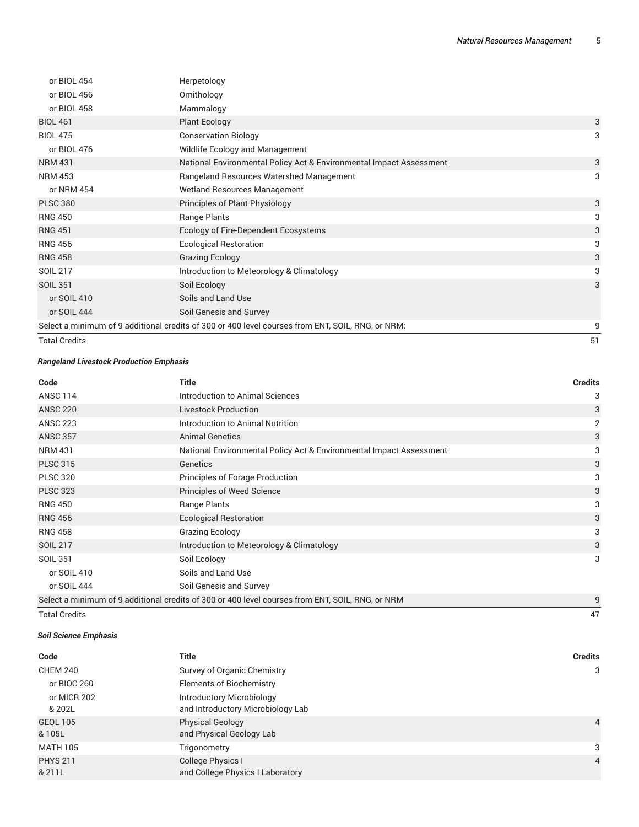| <b>Total Credits</b> |                                                                                                   | 51 |
|----------------------|---------------------------------------------------------------------------------------------------|----|
|                      | Select a minimum of 9 additional credits of 300 or 400 level courses from ENT, SOIL, RNG, or NRM: | 9  |
| or SOIL 444          | Soil Genesis and Survey                                                                           |    |
| or SOIL 410          | Soils and Land Use                                                                                |    |
| <b>SOIL 351</b>      | Soil Ecology                                                                                      | 3  |
| SOIL 217             | Introduction to Meteorology & Climatology                                                         | 3  |
| <b>RNG 458</b>       | <b>Grazing Ecology</b>                                                                            | 3  |
| <b>RNG 456</b>       | <b>Ecological Restoration</b>                                                                     | 3  |
| <b>RNG 451</b>       | Ecology of Fire-Dependent Ecosystems                                                              | 3  |
| <b>RNG 450</b>       | Range Plants                                                                                      | 3  |
| <b>PLSC 380</b>      | Principles of Plant Physiology                                                                    | 3  |
| or NRM 454           | <b>Wetland Resources Management</b>                                                               |    |
| <b>NRM 453</b>       | Rangeland Resources Watershed Management                                                          | 3  |
| <b>NRM 431</b>       | National Environmental Policy Act & Environmental Impact Assessment                               | 3  |
| or BIOL 476          | Wildlife Ecology and Management                                                                   |    |
| <b>BIOL 475</b>      | <b>Conservation Biology</b>                                                                       | 3  |
| <b>BIOL 461</b>      | <b>Plant Ecology</b>                                                                              | 3  |
| or BIOL 458          | Mammalogy                                                                                         |    |
| or BIOL 456          | Ornithology                                                                                       |    |
| or BIOL 454          | Herpetology                                                                                       |    |

#### *Rangeland Livestock Production Emphasis*

| Code            | <b>Title</b>                                                                                     | <b>Credits</b> |
|-----------------|--------------------------------------------------------------------------------------------------|----------------|
| <b>ANSC 114</b> | Introduction to Animal Sciences                                                                  | 3              |
| <b>ANSC 220</b> | <b>Livestock Production</b>                                                                      | 3              |
| <b>ANSC 223</b> | Introduction to Animal Nutrition                                                                 | 2              |
| <b>ANSC 357</b> | <b>Animal Genetics</b>                                                                           | 3              |
| <b>NRM 431</b>  | National Environmental Policy Act & Environmental Impact Assessment                              | 3              |
| <b>PLSC 315</b> | Genetics                                                                                         | 3              |
| <b>PLSC 320</b> | Principles of Forage Production                                                                  | 3              |
| <b>PLSC 323</b> | Principles of Weed Science                                                                       | 3              |
| <b>RNG 450</b>  | Range Plants                                                                                     | 3              |
| <b>RNG 456</b>  | <b>Ecological Restoration</b>                                                                    | 3              |
| <b>RNG 458</b>  | <b>Grazing Ecology</b>                                                                           | 3              |
| <b>SOIL 217</b> | Introduction to Meteorology & Climatology                                                        | 3              |
| <b>SOIL 351</b> | Soil Ecology                                                                                     | 3              |
| or SOIL 410     | Soils and Land Use                                                                               |                |
| or SOIL 444     | Soil Genesis and Survey                                                                          |                |
|                 | Select a minimum of 9 additional credits of 300 or 400 level courses from ENT, SOIL, RNG, or NRM | 9              |

Total Credits 47

## *Soil Science Emphasis*

| Code                      | Title                                                                 | <b>Credits</b> |
|---------------------------|-----------------------------------------------------------------------|----------------|
| <b>CHEM 240</b>           | Survey of Organic Chemistry                                           | 3              |
| or BIOC 260               | <b>Elements of Biochemistry</b>                                       |                |
| or MICR 202<br>& 202L     | <b>Introductory Microbiology</b><br>and Introductory Microbiology Lab |                |
| <b>GEOL 105</b><br>& 105L | <b>Physical Geology</b><br>and Physical Geology Lab                   | $\overline{4}$ |
| <b>MATH 105</b>           | Trigonometry                                                          | 3              |
| <b>PHYS 211</b><br>& 211L | College Physics I<br>and College Physics I Laboratory                 | $\overline{4}$ |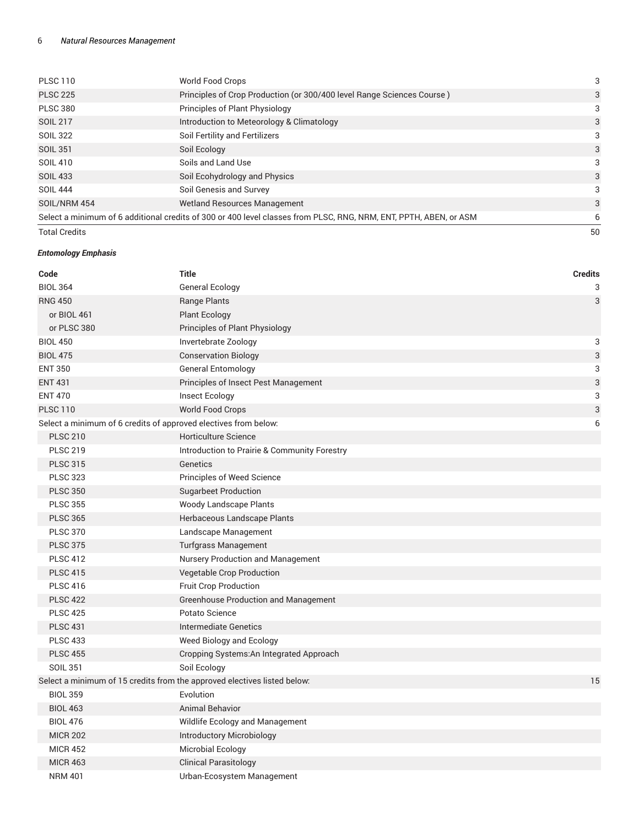#### 6 *Natural Resources Management*

| <b>Total Credits</b>                                                                                              |                                                                        | 50 |
|-------------------------------------------------------------------------------------------------------------------|------------------------------------------------------------------------|----|
| Select a minimum of 6 additional credits of 300 or 400 level classes from PLSC, RNG, NRM, ENT, PPTH, ABEN, or ASM |                                                                        | 6  |
| SOIL/NRM 454                                                                                                      | Wetland Resources Management                                           | 3  |
| <b>SOIL 444</b>                                                                                                   | Soil Genesis and Survey                                                | 3  |
| <b>SOIL 433</b>                                                                                                   | Soil Ecohydrology and Physics                                          | 3  |
| SOIL 410                                                                                                          | Soils and Land Use                                                     | 3  |
| <b>SOIL 351</b>                                                                                                   | Soil Ecology                                                           | 3  |
| <b>SOIL 322</b>                                                                                                   | Soil Fertility and Fertilizers                                         | 3  |
| <b>SOIL 217</b>                                                                                                   | Introduction to Meteorology & Climatology                              | 3  |
| <b>PLSC 380</b>                                                                                                   | <b>Principles of Plant Physiology</b>                                  | 3  |
| <b>PLSC 225</b>                                                                                                   | Principles of Crop Production (or 300/400 level Range Sciences Course) | 3  |
| <b>PLSC 110</b>                                                                                                   | World Food Crops                                                       | 3  |
|                                                                                                                   |                                                                        |    |

#### *Entomology Emphasis*

| Code                                                                     | <b>Title</b>                                 | <b>Credits</b> |
|--------------------------------------------------------------------------|----------------------------------------------|----------------|
| <b>BIOL 364</b>                                                          | General Ecology                              | 3              |
| <b>RNG 450</b>                                                           | Range Plants                                 | 3              |
| or BIOL 461                                                              | <b>Plant Ecology</b>                         |                |
| or PLSC 380                                                              | Principles of Plant Physiology               |                |
| <b>BIOL 450</b>                                                          | Invertebrate Zoology                         | 3              |
| <b>BIOL 475</b>                                                          | <b>Conservation Biology</b>                  | 3              |
| <b>ENT 350</b>                                                           | <b>General Entomology</b>                    | 3              |
| <b>ENT 431</b>                                                           | Principles of Insect Pest Management         | 3              |
| <b>ENT 470</b>                                                           | Insect Ecology                               | 3              |
| <b>PLSC 110</b>                                                          | <b>World Food Crops</b>                      | 3              |
| Select a minimum of 6 credits of approved electives from below:          |                                              | 6              |
| <b>PLSC 210</b>                                                          | <b>Horticulture Science</b>                  |                |
| <b>PLSC 219</b>                                                          | Introduction to Prairie & Community Forestry |                |
| <b>PLSC 315</b>                                                          | Genetics                                     |                |
| <b>PLSC 323</b>                                                          | Principles of Weed Science                   |                |
| <b>PLSC 350</b>                                                          | <b>Sugarbeet Production</b>                  |                |
| <b>PLSC 355</b>                                                          | Woody Landscape Plants                       |                |
| <b>PLSC 365</b>                                                          | Herbaceous Landscape Plants                  |                |
| <b>PLSC 370</b>                                                          | Landscape Management                         |                |
| <b>PLSC 375</b>                                                          | <b>Turfgrass Management</b>                  |                |
| <b>PLSC 412</b>                                                          | Nursery Production and Management            |                |
| <b>PLSC 415</b>                                                          | Vegetable Crop Production                    |                |
| <b>PLSC 416</b>                                                          | Fruit Crop Production                        |                |
| <b>PLSC 422</b>                                                          | <b>Greenhouse Production and Management</b>  |                |
| <b>PLSC 425</b>                                                          | Potato Science                               |                |
| <b>PLSC 431</b>                                                          | <b>Intermediate Genetics</b>                 |                |
| <b>PLSC 433</b>                                                          | Weed Biology and Ecology                     |                |
| <b>PLSC 455</b>                                                          | Cropping Systems: An Integrated Approach     |                |
| <b>SOIL 351</b>                                                          | Soil Ecology                                 |                |
| Select a minimum of 15 credits from the approved electives listed below: |                                              | 15             |
| <b>BIOL 359</b>                                                          | Evolution                                    |                |
| <b>BIOL 463</b>                                                          | <b>Animal Behavior</b>                       |                |
| <b>BIOL 476</b>                                                          | Wildlife Ecology and Management              |                |
| <b>MICR 202</b>                                                          | Introductory Microbiology                    |                |
| <b>MICR 452</b>                                                          | <b>Microbial Ecology</b>                     |                |
| <b>MICR 463</b>                                                          | <b>Clinical Parasitology</b>                 |                |
| <b>NRM 401</b>                                                           | Urban-Ecosystem Management                   |                |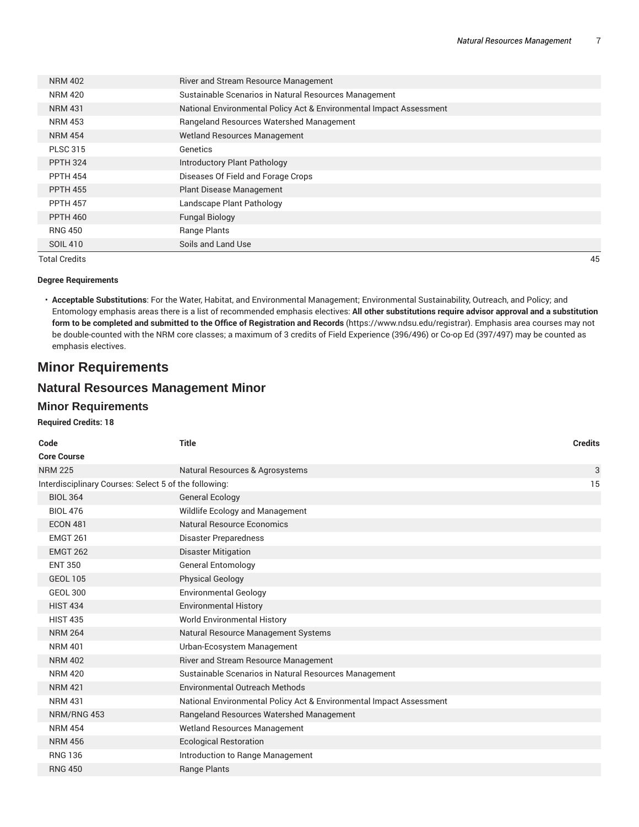| <b>NRM 402</b>  | River and Stream Resource Management                                |
|-----------------|---------------------------------------------------------------------|
| NRM 420         | Sustainable Scenarios in Natural Resources Management               |
| <b>NRM 431</b>  | National Environmental Policy Act & Environmental Impact Assessment |
| NRM 453         | Rangeland Resources Watershed Management                            |
| <b>NRM 454</b>  | <b>Wetland Resources Management</b>                                 |
| <b>PLSC 315</b> | Genetics                                                            |
| <b>PPTH 324</b> | Introductory Plant Pathology                                        |
| <b>PPTH 454</b> | Diseases Of Field and Forage Crops                                  |
| <b>PPTH 455</b> | <b>Plant Disease Management</b>                                     |
| <b>PPTH 457</b> | Landscape Plant Pathology                                           |
| <b>PPTH 460</b> | <b>Fungal Biology</b>                                               |
| <b>RNG 450</b>  | Range Plants                                                        |
| SOIL 410        | Soils and Land Use                                                  |
|                 |                                                                     |

Total Credits 45

#### **Degree Requirements**

• **Acceptable Substitutions**: For the Water, Habitat, and Environmental Management; Environmental Sustainability, Outreach, and Policy; and Entomology emphasis areas there is a list of recommended emphasis electives: **All other substitutions require advisor approval and a substitution form to be completed and submitted to the Office of Registration and Records** (https://www.ndsu.edu/registrar). Emphasis area courses may not be double-counted with the NRM core classes; a maximum of 3 credits of Field Experience (396/496) or Co-op Ed (397/497) may be counted as emphasis electives.

## **Minor Requirements**

# **Natural Resources Management Minor**

### **Minor Requirements**

#### **Required Credits: 18**

| Code                                                        | <b>Title</b>                                                        | <b>Credits</b> |  |  |
|-------------------------------------------------------------|---------------------------------------------------------------------|----------------|--|--|
| <b>Core Course</b>                                          |                                                                     |                |  |  |
| <b>NRM 225</b>                                              | Natural Resources & Agrosystems                                     | 3              |  |  |
| Interdisciplinary Courses: Select 5 of the following:<br>15 |                                                                     |                |  |  |
| <b>BIOL 364</b>                                             | <b>General Ecology</b>                                              |                |  |  |
| <b>BIOL 476</b>                                             | Wildlife Ecology and Management                                     |                |  |  |
| <b>ECON 481</b>                                             | <b>Natural Resource Economics</b>                                   |                |  |  |
| <b>EMGT 261</b>                                             | Disaster Preparedness                                               |                |  |  |
| <b>EMGT 262</b>                                             | <b>Disaster Mitigation</b>                                          |                |  |  |
| <b>ENT 350</b>                                              | <b>General Entomology</b>                                           |                |  |  |
| <b>GEOL 105</b>                                             | <b>Physical Geology</b>                                             |                |  |  |
| <b>GEOL 300</b>                                             | <b>Environmental Geology</b>                                        |                |  |  |
| <b>HIST 434</b>                                             | <b>Environmental History</b>                                        |                |  |  |
| <b>HIST 435</b>                                             | <b>World Environmental History</b>                                  |                |  |  |
| <b>NRM 264</b>                                              | Natural Resource Management Systems                                 |                |  |  |
| <b>NRM 401</b>                                              | Urban-Ecosystem Management                                          |                |  |  |
| <b>NRM 402</b>                                              | River and Stream Resource Management                                |                |  |  |
| <b>NRM 420</b>                                              | Sustainable Scenarios in Natural Resources Management               |                |  |  |
| <b>NRM 421</b>                                              | Environmental Outreach Methods                                      |                |  |  |
| <b>NRM 431</b>                                              | National Environmental Policy Act & Environmental Impact Assessment |                |  |  |
| NRM/RNG 453                                                 | Rangeland Resources Watershed Management                            |                |  |  |
| <b>NRM 454</b>                                              | <b>Wetland Resources Management</b>                                 |                |  |  |
| <b>NRM 456</b>                                              | <b>Ecological Restoration</b>                                       |                |  |  |
| <b>RNG 136</b>                                              | Introduction to Range Management                                    |                |  |  |
| <b>RNG 450</b>                                              | Range Plants                                                        |                |  |  |
|                                                             |                                                                     |                |  |  |